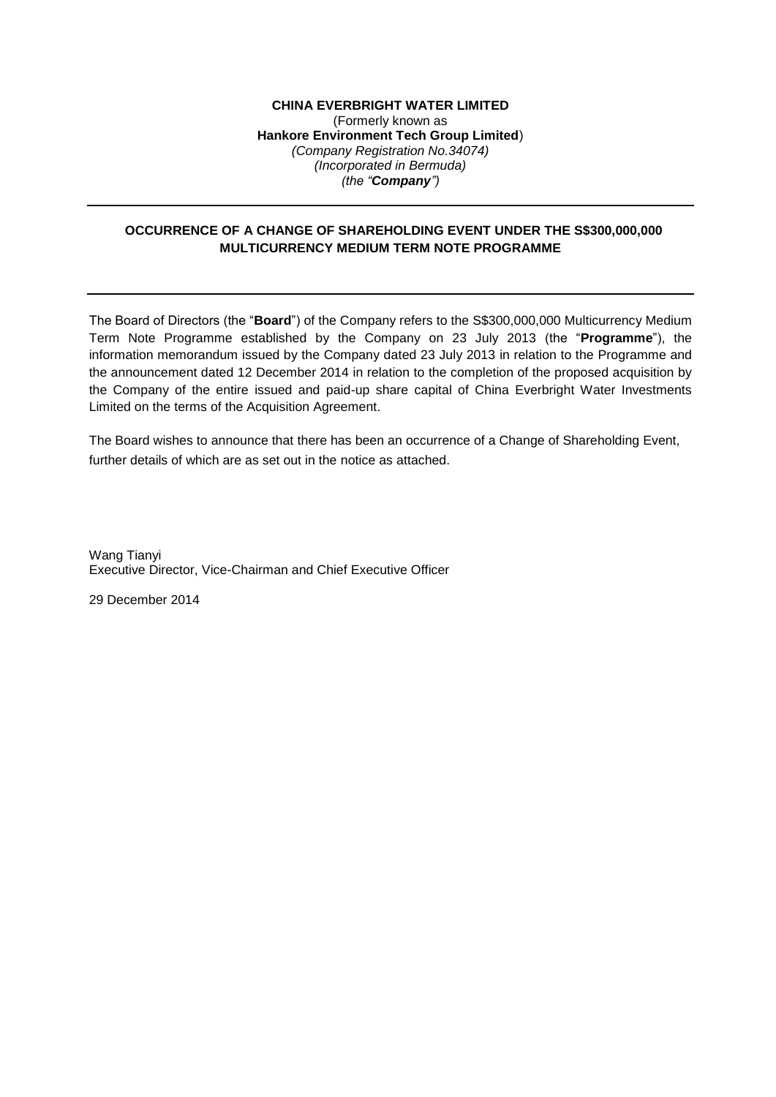## **CHINA EVERBRIGHT WATER LIMITED** (Formerly known as **Hankore Environment Tech Group Limited**) *(Company Registration No.34074) (Incorporated in Bermuda) (the "Company")*

## **OCCURRENCE OF A CHANGE OF SHAREHOLDING EVENT UNDER THE S\$300,000,000 MULTICURRENCY MEDIUM TERM NOTE PROGRAMME**

The Board of Directors (the "**Board**") of the Company refers to the S\$300,000,000 Multicurrency Medium Term Note Programme established by the Company on 23 July 2013 (the "**Programme**"), the information memorandum issued by the Company dated 23 July 2013 in relation to the Programme and the announcement dated 12 December 2014 in relation to the completion of the proposed acquisition by the Company of the entire issued and paid-up share capital of China Everbright Water Investments Limited on the terms of the Acquisition Agreement.

The Board wishes to announce that there has been an occurrence of a Change of Shareholding Event, further details of which are as set out in the notice as attached.

Wang Tianyi Executive Director, Vice-Chairman and Chief Executive Officer

29 December 2014